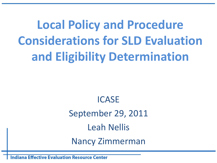**Local Policy and Procedure Considerations for SLD Evaluation and Eligibility Determination**

> ICASE September 29, 2011 Leah Nellis Nancy Zimmerman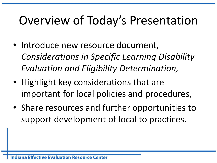## Overview of Today's Presentation

- Introduce new resource document, *Considerations in Specific Learning Disability Evaluation and Eligibility Determination,*
- Highlight key considerations that are important for local policies and procedures,
- Share resources and further opportunities to support development of local to practices.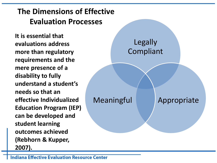### **The Dimensions of Effective Evaluation Processes**

**It is essential that evaluations address more than regulatory requirements and the mere presence of a disability to fully understand a student's needs so that an effective Individualized Education Program (IEP) can be developed and student learning outcomes achieved (Rebhorn & Kupper, 2007).** 

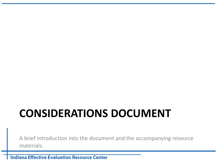## **CONSIDERATIONS DOCUMENT**

A brief introduction into the document and the accompanying resource materials.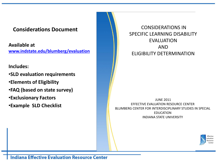#### **Considerations Document**

**Available at [www.indstate.edu/blumberg/evaluation](http://www.indstate.edu/blumberg/evaluation)**

#### **Includes:**

•**SLD evaluation requirements**

- •**Elements of Eligibility**
- •**FAQ (based on state survey)**
- •**Exclusionary Factors**
- •**Example SLD Checklist**

CONSIDERATIONS IN SPECIFIC LEARNING DISABILITY EVALUATION AND ELIGIBILITY DETERMINATION

JUNE 2011 EFFECTIVE EVALUATION RESOURCE CENTER BLUMBERG CENTER FOR INTERDISCIPLINARY STUDIES IN SPECIAL EDUCATION INDIANA STATE UNIVERSITY

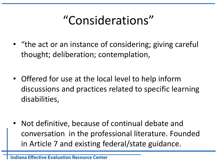# "Considerations"

- "the act or an instance of considering; giving careful thought; deliberation; contemplation,
- Offered for use at the local level to help inform discussions and practices related to specific learning disabilities,
- Not definitive, because of continual debate and conversation in the professional literature. Founded in Article 7 and existing federal/state guidance.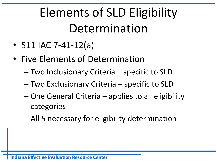# Elements of SLD Eligibility Determination

- 511 IAC 7-41-12(a)
- Five Elements of Determination
	- Two Inclusionary Criteria specific to SLD
	- Two Exclusionary Criteria specific to SLD
	- One General Criteria applies to all eligibility categories
	- All 5 necessary for eligibility determination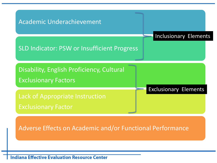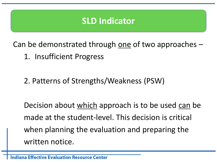### **SLD Indicator**

Can be demonstrated through one of two approaches  $-$ 

- 1. Insufficient Progress
- 2. Patterns of Strengths/Weakness (PSW)

Decision about which approach is to be used can be made at the student-level. This decision is critical when planning the evaluation and preparing the written notice.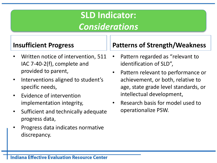### **SLD Indicator:**  *Considerations*

### **Insufficient Progress**

- Written notice of intervention, 511 IAC 7-40-2(f), complete and provided to parent,
- Interventions aligned to student's specific needs,
- Evidence of intervention implementation integrity,
- Sufficient and technically adequate progress data,
- Progress data indicates normative discrepancy.

### **Patterns of Strength/Weakness**

- Pattern regarded as "relevant to identification of SLD",
- Pattern relevant to performance or achievement, or both, relative to age, state grade level standards, or intellectual development,
- Research basis for model used to operationalize PSW.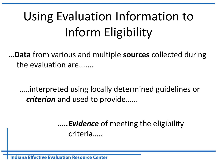# Using Evaluation Information to Inform Eligibility

…**Data** from various and multiple **sources** collected during the evaluation are.......

…..interpreted using locally determined guidelines or *criterion* and used to provide......

> *…..Evidence* of meeting the eligibility criteria…..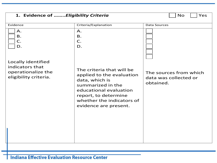| 1. Evidence of <i>Eligibility Criteria</i><br><b>No</b><br>Yes                       |                                                                                                                                                                                                       |                                                              |
|--------------------------------------------------------------------------------------|-------------------------------------------------------------------------------------------------------------------------------------------------------------------------------------------------------|--------------------------------------------------------------|
| Evidence                                                                             | Criteria/Explanation                                                                                                                                                                                  | <b>Data Sources</b>                                          |
| A.<br><b>B.</b><br>$\mathsf{C}.$<br>D.                                               | Α.<br><b>B.</b><br>C.<br>D.                                                                                                                                                                           |                                                              |
| Locally identified<br>indicators that<br>operationalize the<br>eligibility criteria. | The criteria that will be<br>applied to the evaluation<br>data, which is<br>summarized in the<br>educational evaluation<br>report, to determine<br>whether the indicators of<br>evidence are present. | The sources from which<br>data was collected or<br>obtained. |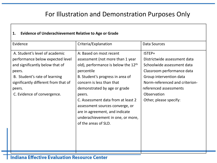### For Illustration and Demonstration Purposes Only

#### **1. Evidence of Underachievement Relative to Age or Grade**

| Evidence                                                                                                                                                                                                                          | Criteria/Explanation                                                                                                                                                                                                                                                                                                                                                                                  | Data Sources                                                                                                                                                                                                                       |
|-----------------------------------------------------------------------------------------------------------------------------------------------------------------------------------------------------------------------------------|-------------------------------------------------------------------------------------------------------------------------------------------------------------------------------------------------------------------------------------------------------------------------------------------------------------------------------------------------------------------------------------------------------|------------------------------------------------------------------------------------------------------------------------------------------------------------------------------------------------------------------------------------|
| A. Student's level of academic<br>performance below expected level<br>and significantly below that of<br>peers.<br>B. Student's rate of learning<br>significantly different from that of<br>peers.<br>C. Evidence of convergence. | A: Based on most recent<br>assessment (not more than 1 year<br>old), performance is below the $12th$<br>percentile<br>B. Student's progress in area of<br>concern is less than that<br>demonstrated by age or grade<br>peers.<br>C. Assessment data from at least 2<br>assessment sources converge, or<br>are in agreement, and indicate<br>underachievement in one, or more,<br>of the areas of SLD. | ISTEP+<br>Districtwide assessment data<br>Schoolwide assessment data<br>Classroom performance data<br>Group intervention data<br>Norm-referenced and criterion-<br>referenced assessments<br>Observation<br>Other, please specify: |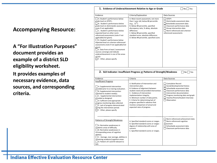#### **Accompanying Resource:**

**A "For Illustration Purposes" document provides an example of a district SLD eligibility worksheet. It provides examples of necessary evidence, data sources, and corresponding criteria.** 

| 1. Evidence of Underachievement Relative to Age or Grade<br>$\n  No\n  Yes\n$                                                                                                                                                                                                                                                                                                                                                                                                                                                                                                                  |                                                                                                                                                                                                                                                                                                                                                                                                        |                                                                                                                                                                                                                                                             |
|------------------------------------------------------------------------------------------------------------------------------------------------------------------------------------------------------------------------------------------------------------------------------------------------------------------------------------------------------------------------------------------------------------------------------------------------------------------------------------------------------------------------------------------------------------------------------------------------|--------------------------------------------------------------------------------------------------------------------------------------------------------------------------------------------------------------------------------------------------------------------------------------------------------------------------------------------------------------------------------------------------------|-------------------------------------------------------------------------------------------------------------------------------------------------------------------------------------------------------------------------------------------------------------|
| Evidence                                                                                                                                                                                                                                                                                                                                                                                                                                                                                                                                                                                       | Criteria/Explanation                                                                                                                                                                                                                                                                                                                                                                                   | Data Sources                                                                                                                                                                                                                                                |
| A. Student's performance below<br>grade level on ISTEP+.<br>B. Student's performance below<br>grade level on districtwide assessments<br>(note if not applicable).<br>C. Student's performance below<br>expected level on other norm-<br>referenced assessments (note if not<br>applicable/not given).<br>D. Student's performance below<br>expected level on criterion-referenced<br>assessments (note if not applicable/not<br>given).<br>E. Data from at least 2 assessment<br>sources converge and indicate<br>underachievement in one of the areas<br>of SLD.<br>F. Other, please specify | A. Most recent assessment, not more<br>than 1 year old, below ## percentile<br>$(e.g., 12th)$ .<br>B. Below ## percentile, specified<br>discrepancy ratio, % delay, absolute<br>difference.<br>C. Below ## percentile, specified<br>standard score, absolute difference.<br>D. Below ## percentile, specified score.<br>2. SLD Indicator: Insufficient Progress or Patterns of Strength/Weakness       | ISTEP+<br>Districtwide assessment data<br>Schoolwide assessment data<br>Classroom performance data<br>Group intervention data<br>Norm-referenced and criterion-<br>referenced assessments<br>    No     Yes                                                 |
|                                                                                                                                                                                                                                                                                                                                                                                                                                                                                                                                                                                                |                                                                                                                                                                                                                                                                                                                                                                                                        |                                                                                                                                                                                                                                                             |
| Evidence<br><b>Insufficient Progress</b><br>A. Supplemental intervention<br>provided prior to or during evaluation.<br>$\Box$ B. Supplemental intervention<br>matched to student need(s).<br>$\Box$ C. Supplemental intervention<br>provided as designed.<br>$\Box$ D. Sufficient and appropriate<br>progress monitoring data collected.<br>$\vert \ \vert$ E. Lack of progress demonstrated<br>during the intervention period.<br>F. Other, please specify                                                                                                                                    | Criteria<br>A. Notification of Intervention and<br>intervention plan.<br>B. Evidence of alignment between<br>student need and provided intervention.<br>C. Evidence of intervention<br>implementation integrity.<br>D. Minimum number of data points.<br>E. Criteria for determining lack of<br>progress specified in advance that<br>involves comparison of actual and<br>expected rates of progress. | Data Sources<br><b>Cumulative Record</b><br>Social/developmental history<br>Schoolwide assessment data<br>Classroom performance data<br>Intervention documentation<br>Progress monitoring data and graph<br>Teacher/Parent/Student Interview<br>Observation |
| Patterns of Strength/Weakness<br>A. Normative weaknesses in<br>academic areas of difficulty.<br>B. Normative weaknesses in<br>corresponding areas of cognitive<br>abilities.<br>$\Box$ C. Average, near average, abilities in<br>remaining academic/cognitive areas.<br>□ D. Pattern of S and W relevant to<br>SLD.                                                                                                                                                                                                                                                                            | A. Specified standard scores or ranges.<br>B. Specified standard scores or ranges -<br>degree of relationship with area of<br>concern.<br>C. Specified standard scores or ranges.                                                                                                                                                                                                                      | Norm-referenced achievement data<br>Norm-referenced cognitive<br>assessment<br>Schoolwide assessment data<br>Classroom performance data                                                                                                                     |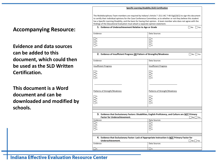#### **Specific Learning Disability (SLD) Certification**

The Multidisciplinary Team members are required by Indiana's Article 7 (511 IAC 7-40-5(g)(2)(C)) to sign this document to certify their individual opinions for the Case Conference Committee, as to whether or not they believe this student has a Specific Learning Disability, and the basis for having that opinion. A team member who does not agree with the findings of the Educational Evaluation must attach a separate opinion statement.

#### **Accompanying Resource:**

**Evidence and data sources can be added to this document, which could then be used as the SLD Written Certification.** 

**This document is a Word document and can be downloaded and modified by schools.** 

| 1. Evidence of Underachievement Relative to Age or Grade<br>$\Box$ No<br>$ $ Yes                                                                              |                                                           |  |
|---------------------------------------------------------------------------------------------------------------------------------------------------------------|-----------------------------------------------------------|--|
| Evidence                                                                                                                                                      | Data Sources                                              |  |
| ٦а.<br>ΠВ.<br>C.<br>Пp.                                                                                                                                       | ٦а.<br>7 в.<br>٦c.<br>ヿD.                                 |  |
|                                                                                                                                                               |                                                           |  |
| 2. Evidence of Insufficient Progress OR Pattern of Strengths/Weakness                                                                                         | $\Box$ No $\Box$ Yes                                      |  |
| Evidence                                                                                                                                                      | Data Sources                                              |  |
| <b>Insufficient Progress</b>                                                                                                                                  | <b>Insufficient Progress</b>                              |  |
| IIA.<br><b>B.</b><br>C.<br>$\Box$ D.                                                                                                                          | A.<br>7 в.<br>ヿc.<br>$\Box$ D.                            |  |
| Patterns of Strength/Weakness<br>ΠA.<br>Πв.<br>C.<br>Пp.                                                                                                      | Patterns of Strength/Weakness<br>٦а.<br>Πв.<br>ヿc.<br>ПD. |  |
|                                                                                                                                                               |                                                           |  |
| 3. Evidence that Exclusionary Factors: Disabilities, English Proficiency, and Culture are NOT Primary<br><b>Factor for Underachievement.</b><br>$No \Box Yes$ |                                                           |  |
| Evidence<br>٦а.<br>7 в.<br>1 c.<br>IID.                                                                                                                       | Data Sources<br>٦а.<br>7 в.<br>٦c.<br>∩D.                 |  |
|                                                                                                                                                               |                                                           |  |
| 4. Evidence that Exclusionary Factor: Lack of Appropriate Instruction is NOT Primary Factor for<br>Underachievement.<br>No Yes                                |                                                           |  |
| Evidence                                                                                                                                                      | Data Sources                                              |  |
| コ A.                                                                                                                                                          | O A.                                                      |  |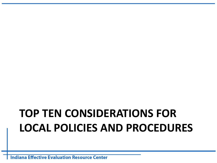## **TOP TEN CONSIDERATIONS FOR LOCAL POLICIES AND PROCEDURES**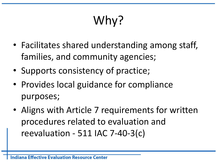# Why?

- Facilitates shared understanding among staff, families, and community agencies;
- Supports consistency of practice;
- Provides local guidance for compliance purposes;
- Aligns with Article 7 requirements for written procedures related to evaluation and reevaluation - 511 IAC 7-40-3(c)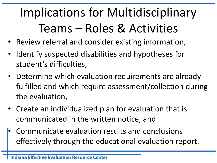# Implications for Multidisciplinary Teams – Roles & Activities

- Review referral and consider existing information,
- Identify suspected disabilities and hypotheses for student's difficulties,
- Determine which evaluation requirements are already fulfilled and which require assessment/collection during the evaluation,
- Create an individualized plan for evaluation that is communicated in the written notice, and
- Communicate evaluation results and conclusions effectively through the educational evaluation report.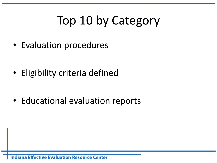# Top 10 by Category

• Evaluation procedures

• Eligibility criteria defined

• Educational evaluation reports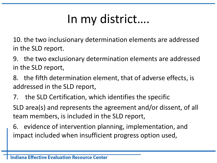# In my district….

10. the two inclusionary determination elements are addressed in the SLD report.

- 9. the two exclusionary determination elements are addressed in the SLD report,
- 8. the fifth determination element, that of adverse effects, is addressed in the SLD report,
- 7. the SLD Certification, which identifies the specific

SLD area(s) and represents the agreement and/or dissent, of all team members, is included in the SLD report,

6. evidence of intervention planning, implementation, and impact included when insufficient progress option used,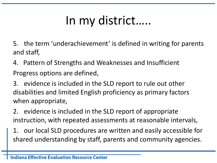# In my district…..

5. the term 'underachievement' is defined in writing for parents and staff,

4. Pattern of Strengths and Weaknesses and Insufficient Progress options are defined,

3. evidence is included in the SLD report to rule out other disabilities and limited English proficiency as primary factors when appropriate,

2. evidence is included in the SLD report of appropriate instruction, with repeated assessments at reasonable intervals,

1. our local SLD procedures are written and easily accessible for shared understanding by staff, parents and community agencies.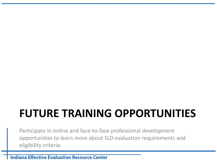### **FUTURE TRAINING OPPORTUNITIES**

Participate in online and face-to-face professional development opportunities to learn more about SLD evaluation requirements and eligibility criteria.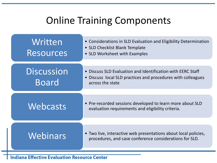### Online Training Components

| Written<br><b>Resources</b>       | • Considerations in SLD Evaluation and Eligibility Determination<br>• SLD Checklist Blank Template<br>• SLD Worksheet with Examples             |
|-----------------------------------|-------------------------------------------------------------------------------------------------------------------------------------------------|
| <b>Discussion</b><br><b>Board</b> | • Discuss SLD Evaluation and Identification with EERC Staff<br>• Discuss local SLD practices and procedures with colleagues<br>across the state |
| Webcasts                          | • Pre-recorded sessions developed to learn more about SLD<br>evaluation requirements and eligibility criteria.                                  |
| Webinars                          | • Two live, interactive web presentations about local policies,<br>procedures, and case conference considerations for SLD.                      |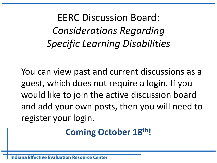EERC Discussion Board: *Considerations Regarding Specific Learning Disabilities*

You can view past and current discussions as a guest, which does not require a login. If you would like to join the active discussion board and add your own posts, then you will need to register your login.

### **Coming October 18th!**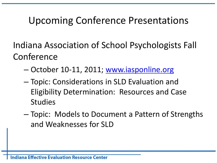### Upcoming Conference Presentations

Indiana Association of School Psychologists Fall Conference

- October 10-11, 2011; [www.iasponline.org](http://www.iasponline.org/)
- Topic: Considerations in SLD Evaluation and Eligibility Determination: Resources and Case Studies
- Topic: Models to Document a Pattern of Strengths and Weaknesses for SLD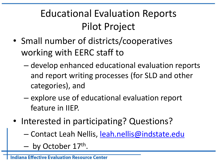### Educational Evaluation Reports Pilot Project

- Small number of districts/cooperatives working with EERC staff to
	- develop enhanced educational evaluation reports and report writing processes (for SLD and other categories), and
	- explore use of educational evaluation report feature in IIEP.
- Interested in participating? Questions?
	- Contact Leah Nellis, [leah.nellis@indstate.edu](mailto:leah.nellis@indstate.edu)
	- by October 17<sup>th</sup>.

**Effective Evaluation Resource Center**